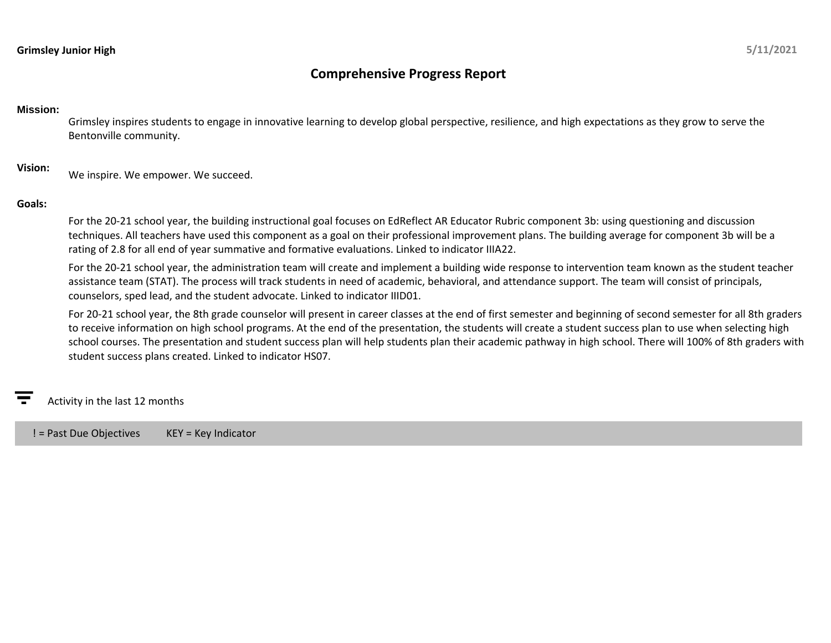# **Grimsley Junior High**

# **Comprehensive Progress Report**

### **Mission:**

Grimsley inspires students to engage in innovative learning to develop global perspective, resilience, and high expectations as they grow to serve the Bentonville community.

**Vision:** We inspire. We empower. We succeed.

## **Goals:**

For the 20-21 school year, the building instructional goal focuses on EdReflect AR Educator Rubric component 3b: using questioning and discussion techniques. All teachers have used this component as a goal on their professional improvement plans. The building average for component 3b will be a rating of 2.8 for all end of year summative and formative evaluations. Linked to indicator IIIA22.

For the 20-21 school year, the administration team will create and implement a building wide response to intervention team known as the student teacher assistance team (STAT). The process will track students in need of academic, behavioral, and attendance support. The team will consist of principals, counselors, sped lead, and the student advocate. Linked to indicator IIID01.

For 20-21 school year, the 8th grade counselor will present in career classes at the end of first semester and beginning of second semester for all 8th graders to receive information on high school programs. At the end of the presentation, the students will create a student success plan to use when selecting high school courses. The presentation and student success plan will help students plan their academic pathway in high school. There will 100% of 8th graders with student success plans created. Linked to indicator HS07.

Activity in the last 12 months

! = Past Due Objectives KEY = Key Indicator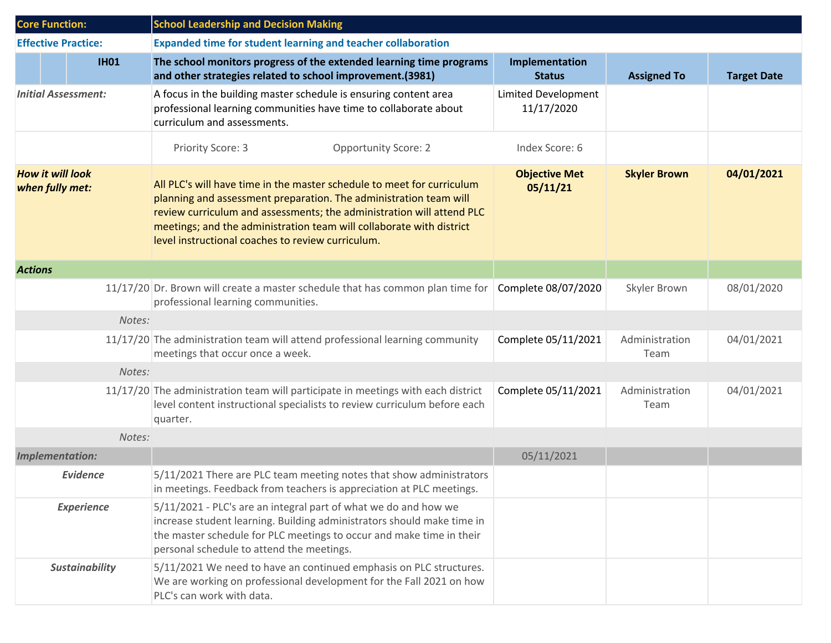| <b>Core Function:</b>                      |                            | <b>School Leadership and Decision Making</b>                                                                                                                                                                                                                                                                                                      |                                          |                        |                    |  |
|--------------------------------------------|----------------------------|---------------------------------------------------------------------------------------------------------------------------------------------------------------------------------------------------------------------------------------------------------------------------------------------------------------------------------------------------|------------------------------------------|------------------------|--------------------|--|
|                                            | <b>Effective Practice:</b> | <b>Expanded time for student learning and teacher collaboration</b>                                                                                                                                                                                                                                                                               |                                          |                        |                    |  |
|                                            | <b>IH01</b>                | The school monitors progress of the extended learning time programs<br>and other strategies related to school improvement.(3981)                                                                                                                                                                                                                  | Implementation<br><b>Status</b>          | <b>Assigned To</b>     | <b>Target Date</b> |  |
| <b>Initial Assessment:</b>                 |                            | A focus in the building master schedule is ensuring content area<br>professional learning communities have time to collaborate about<br>curriculum and assessments.                                                                                                                                                                               | <b>Limited Development</b><br>11/17/2020 |                        |                    |  |
|                                            |                            | <b>Opportunity Score: 2</b><br>Priority Score: 3                                                                                                                                                                                                                                                                                                  | Index Score: 6                           |                        |                    |  |
| <b>How it will look</b><br>when fully met: |                            | All PLC's will have time in the master schedule to meet for curriculum<br>planning and assessment preparation. The administration team will<br>review curriculum and assessments; the administration will attend PLC<br>meetings; and the administration team will collaborate with district<br>level instructional coaches to review curriculum. | <b>Objective Met</b><br>05/11/21         | <b>Skyler Brown</b>    | 04/01/2021         |  |
| <b>Actions</b>                             |                            |                                                                                                                                                                                                                                                                                                                                                   |                                          |                        |                    |  |
|                                            |                            | 11/17/20 Dr. Brown will create a master schedule that has common plan time for<br>professional learning communities.                                                                                                                                                                                                                              | Complete 08/07/2020                      | Skyler Brown           | 08/01/2020         |  |
|                                            | Notes:                     |                                                                                                                                                                                                                                                                                                                                                   |                                          |                        |                    |  |
|                                            |                            | 11/17/20 The administration team will attend professional learning community<br>meetings that occur once a week.                                                                                                                                                                                                                                  | Complete 05/11/2021                      | Administration<br>Team | 04/01/2021         |  |
|                                            | Notes:                     |                                                                                                                                                                                                                                                                                                                                                   |                                          |                        |                    |  |
|                                            |                            | 11/17/20 The administration team will participate in meetings with each district<br>level content instructional specialists to review curriculum before each<br>quarter.                                                                                                                                                                          | Complete 05/11/2021                      | Administration<br>Team | 04/01/2021         |  |
|                                            | Notes:                     |                                                                                                                                                                                                                                                                                                                                                   |                                          |                        |                    |  |
|                                            | Implementation:            |                                                                                                                                                                                                                                                                                                                                                   | 05/11/2021                               |                        |                    |  |
|                                            | <b>Evidence</b>            | 5/11/2021 There are PLC team meeting notes that show administrators<br>in meetings. Feedback from teachers is appreciation at PLC meetings.                                                                                                                                                                                                       |                                          |                        |                    |  |
|                                            | <b>Experience</b>          | 5/11/2021 - PLC's are an integral part of what we do and how we<br>increase student learning. Building administrators should make time in<br>the master schedule for PLC meetings to occur and make time in their<br>personal schedule to attend the meetings.                                                                                    |                                          |                        |                    |  |
|                                            | <b>Sustainability</b>      | 5/11/2021 We need to have an continued emphasis on PLC structures.<br>We are working on professional development for the Fall 2021 on how<br>PLC's can work with data.                                                                                                                                                                            |                                          |                        |                    |  |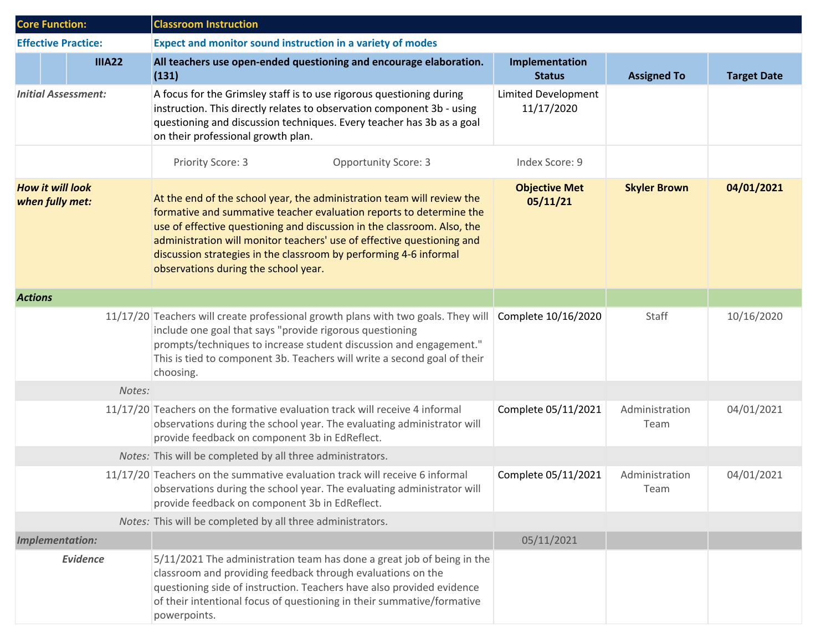| <b>Core Function:</b>                      |                 | <b>Classroom Instruction</b>                                                                                                                                                                                                                                                                                                                                                                                    |                                          |                        |                    |  |
|--------------------------------------------|-----------------|-----------------------------------------------------------------------------------------------------------------------------------------------------------------------------------------------------------------------------------------------------------------------------------------------------------------------------------------------------------------------------------------------------------------|------------------------------------------|------------------------|--------------------|--|
| <b>Effective Practice:</b>                 |                 | Expect and monitor sound instruction in a variety of modes                                                                                                                                                                                                                                                                                                                                                      |                                          |                        |                    |  |
|                                            | <b>IIIA22</b>   | All teachers use open-ended questioning and encourage elaboration.<br>(131)                                                                                                                                                                                                                                                                                                                                     | Implementation<br><b>Status</b>          | <b>Assigned To</b>     | <b>Target Date</b> |  |
| <b>Initial Assessment:</b>                 |                 | A focus for the Grimsley staff is to use rigorous questioning during<br>instruction. This directly relates to observation component 3b - using<br>questioning and discussion techniques. Every teacher has 3b as a goal<br>on their professional growth plan.                                                                                                                                                   | <b>Limited Development</b><br>11/17/2020 |                        |                    |  |
|                                            |                 | Priority Score: 3<br><b>Opportunity Score: 3</b>                                                                                                                                                                                                                                                                                                                                                                | Index Score: 9                           |                        |                    |  |
| <b>How it will look</b><br>when fully met: |                 | At the end of the school year, the administration team will review the<br>formative and summative teacher evaluation reports to determine the<br>use of effective questioning and discussion in the classroom. Also, the<br>administration will monitor teachers' use of effective questioning and<br>discussion strategies in the classroom by performing 4-6 informal<br>observations during the school year. | <b>Objective Met</b><br>05/11/21         | <b>Skyler Brown</b>    | 04/01/2021         |  |
|                                            | <b>Actions</b>  |                                                                                                                                                                                                                                                                                                                                                                                                                 |                                          |                        |                    |  |
|                                            |                 | 11/17/20 Teachers will create professional growth plans with two goals. They will<br>include one goal that says "provide rigorous questioning<br>prompts/techniques to increase student discussion and engagement."<br>This is tied to component 3b. Teachers will write a second goal of their<br>choosing.                                                                                                    | Complete 10/16/2020                      | Staff                  | 10/16/2020         |  |
|                                            | Notes:          |                                                                                                                                                                                                                                                                                                                                                                                                                 |                                          |                        |                    |  |
|                                            |                 | 11/17/20 Teachers on the formative evaluation track will receive 4 informal<br>observations during the school year. The evaluating administrator will<br>provide feedback on component 3b in EdReflect.                                                                                                                                                                                                         | Complete 05/11/2021                      | Administration<br>Team | 04/01/2021         |  |
|                                            |                 | Notes: This will be completed by all three administrators.                                                                                                                                                                                                                                                                                                                                                      |                                          |                        |                    |  |
|                                            |                 | 11/17/20 Teachers on the summative evaluation track will receive 6 informal<br>observations during the school year. The evaluating administrator will<br>provide feedback on component 3b in EdReflect.                                                                                                                                                                                                         | Complete 05/11/2021                      | Administration<br>Team | 04/01/2021         |  |
|                                            |                 | Notes: This will be completed by all three administrators.                                                                                                                                                                                                                                                                                                                                                      |                                          |                        |                    |  |
| <b>Implementation:</b>                     |                 |                                                                                                                                                                                                                                                                                                                                                                                                                 | 05/11/2021                               |                        |                    |  |
|                                            | <b>Evidence</b> | 5/11/2021 The administration team has done a great job of being in the<br>classroom and providing feedback through evaluations on the<br>questioning side of instruction. Teachers have also provided evidence<br>of their intentional focus of questioning in their summative/formative<br>powerpoints.                                                                                                        |                                          |                        |                    |  |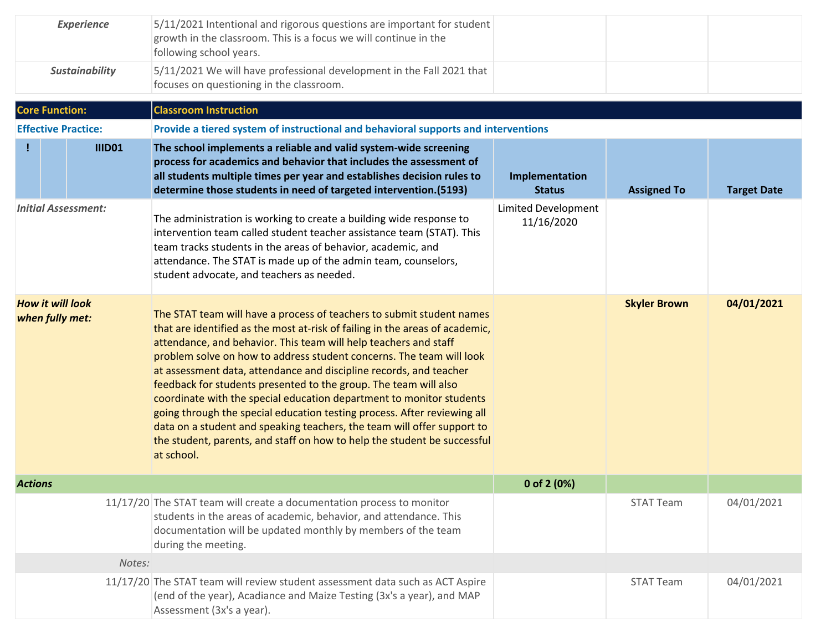| <b>Experience</b>                          |                            | 5/11/2021 Intentional and rigorous questions are important for student<br>growth in the classroom. This is a focus we will continue in the<br>following school years.                                                                                                                                                                                                                                                                                                                                                                                                                                                                                                                                                                                                |                                   |                     |                    |  |  |  |
|--------------------------------------------|----------------------------|----------------------------------------------------------------------------------------------------------------------------------------------------------------------------------------------------------------------------------------------------------------------------------------------------------------------------------------------------------------------------------------------------------------------------------------------------------------------------------------------------------------------------------------------------------------------------------------------------------------------------------------------------------------------------------------------------------------------------------------------------------------------|-----------------------------------|---------------------|--------------------|--|--|--|
| <b>Sustainability</b>                      |                            | 5/11/2021 We will have professional development in the Fall 2021 that<br>focuses on questioning in the classroom.                                                                                                                                                                                                                                                                                                                                                                                                                                                                                                                                                                                                                                                    |                                   |                     |                    |  |  |  |
|                                            | <b>Core Function:</b>      | <b>Classroom Instruction</b>                                                                                                                                                                                                                                                                                                                                                                                                                                                                                                                                                                                                                                                                                                                                         |                                   |                     |                    |  |  |  |
|                                            | <b>Effective Practice:</b> | Provide a tiered system of instructional and behavioral supports and interventions                                                                                                                                                                                                                                                                                                                                                                                                                                                                                                                                                                                                                                                                                   |                                   |                     |                    |  |  |  |
|                                            | <b>IIID01</b>              | The school implements a reliable and valid system-wide screening<br>process for academics and behavior that includes the assessment of<br>all students multiple times per year and establishes decision rules to<br>determine those students in need of targeted intervention.(5193)                                                                                                                                                                                                                                                                                                                                                                                                                                                                                 | Implementation<br><b>Status</b>   | <b>Assigned To</b>  | <b>Target Date</b> |  |  |  |
| <b>Initial Assessment:</b>                 |                            | The administration is working to create a building wide response to<br>intervention team called student teacher assistance team (STAT). This<br>team tracks students in the areas of behavior, academic, and<br>attendance. The STAT is made up of the admin team, counselors,<br>student advocate, and teachers as needed.                                                                                                                                                                                                                                                                                                                                                                                                                                          | Limited Development<br>11/16/2020 |                     |                    |  |  |  |
| <b>How it will look</b><br>when fully met: |                            | The STAT team will have a process of teachers to submit student names<br>that are identified as the most at-risk of failing in the areas of academic,<br>attendance, and behavior. This team will help teachers and staff<br>problem solve on how to address student concerns. The team will look<br>at assessment data, attendance and discipline records, and teacher<br>feedback for students presented to the group. The team will also<br>coordinate with the special education department to monitor students<br>going through the special education testing process. After reviewing all<br>data on a student and speaking teachers, the team will offer support to<br>the student, parents, and staff on how to help the student be successful<br>at school. |                                   | <b>Skyler Brown</b> | 04/01/2021         |  |  |  |
| <b>Actions</b>                             |                            |                                                                                                                                                                                                                                                                                                                                                                                                                                                                                                                                                                                                                                                                                                                                                                      | 0 of 2 (0%)                       |                     |                    |  |  |  |
|                                            |                            | 11/17/20 The STAT team will create a documentation process to monitor<br>students in the areas of academic, behavior, and attendance. This<br>documentation will be updated monthly by members of the team<br>during the meeting.                                                                                                                                                                                                                                                                                                                                                                                                                                                                                                                                    |                                   | <b>STAT Team</b>    | 04/01/2021         |  |  |  |
|                                            | Notes:                     |                                                                                                                                                                                                                                                                                                                                                                                                                                                                                                                                                                                                                                                                                                                                                                      |                                   |                     |                    |  |  |  |
|                                            |                            | 11/17/20 The STAT team will review student assessment data such as ACT Aspire<br>(end of the year), Acadiance and Maize Testing (3x's a year), and MAP<br>Assessment (3x's a year).                                                                                                                                                                                                                                                                                                                                                                                                                                                                                                                                                                                  |                                   | <b>STAT Team</b>    | 04/01/2021         |  |  |  |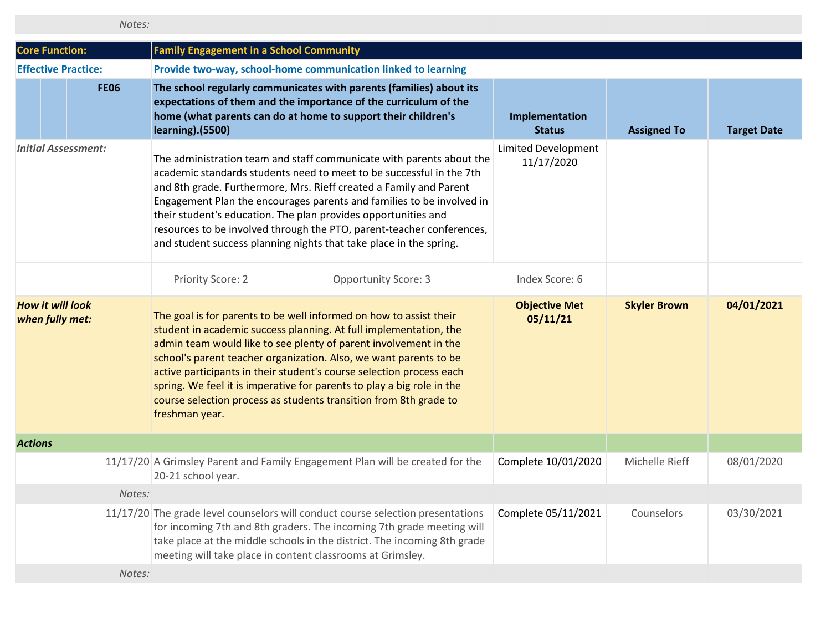| Notes: |  |  |
|--------|--|--|
|        |  |  |

| <b>Core Function:</b>                      |             | <b>Family Engagement in a School Community</b>                                                                                                                                                                                                                                                                                                                                                                                                                                                                            |                                   |                     |                    |
|--------------------------------------------|-------------|---------------------------------------------------------------------------------------------------------------------------------------------------------------------------------------------------------------------------------------------------------------------------------------------------------------------------------------------------------------------------------------------------------------------------------------------------------------------------------------------------------------------------|-----------------------------------|---------------------|--------------------|
| <b>Effective Practice:</b>                 |             | Provide two-way, school-home communication linked to learning                                                                                                                                                                                                                                                                                                                                                                                                                                                             |                                   |                     |                    |
|                                            | <b>FE06</b> | The school regularly communicates with parents (families) about its<br>expectations of them and the importance of the curriculum of the<br>home (what parents can do at home to support their children's<br><b>learning</b> ). (5500)                                                                                                                                                                                                                                                                                     | Implementation<br><b>Status</b>   | <b>Assigned To</b>  | <b>Target Date</b> |
| <b>Initial Assessment:</b>                 |             | The administration team and staff communicate with parents about the<br>academic standards students need to meet to be successful in the 7th<br>and 8th grade. Furthermore, Mrs. Rieff created a Family and Parent<br>Engagement Plan the encourages parents and families to be involved in<br>their student's education. The plan provides opportunities and<br>resources to be involved through the PTO, parent-teacher conferences,<br>and student success planning nights that take place in the spring.              | Limited Development<br>11/17/2020 |                     |                    |
|                                            |             | Priority Score: 2<br><b>Opportunity Score: 3</b>                                                                                                                                                                                                                                                                                                                                                                                                                                                                          | Index Score: 6                    |                     |                    |
| <b>How it will look</b><br>when fully met: |             | The goal is for parents to be well informed on how to assist their<br>student in academic success planning. At full implementation, the<br>admin team would like to see plenty of parent involvement in the<br>school's parent teacher organization. Also, we want parents to be<br>active participants in their student's course selection process each<br>spring. We feel it is imperative for parents to play a big role in the<br>course selection process as students transition from 8th grade to<br>freshman year. | <b>Objective Met</b><br>05/11/21  | <b>Skyler Brown</b> | 04/01/2021         |
| <b>Actions</b>                             |             |                                                                                                                                                                                                                                                                                                                                                                                                                                                                                                                           |                                   |                     |                    |
|                                            |             | 11/17/20 A Grimsley Parent and Family Engagement Plan will be created for the<br>20-21 school year.                                                                                                                                                                                                                                                                                                                                                                                                                       | Complete 10/01/2020               | Michelle Rieff      | 08/01/2020         |
|                                            | Notes:      |                                                                                                                                                                                                                                                                                                                                                                                                                                                                                                                           |                                   |                     |                    |
|                                            |             | 11/17/20 The grade level counselors will conduct course selection presentations<br>for incoming 7th and 8th graders. The incoming 7th grade meeting will<br>take place at the middle schools in the district. The incoming 8th grade<br>meeting will take place in content classrooms at Grimsley.                                                                                                                                                                                                                        | Complete 05/11/2021               | Counselors          | 03/30/2021         |
|                                            | Notes:      |                                                                                                                                                                                                                                                                                                                                                                                                                                                                                                                           |                                   |                     |                    |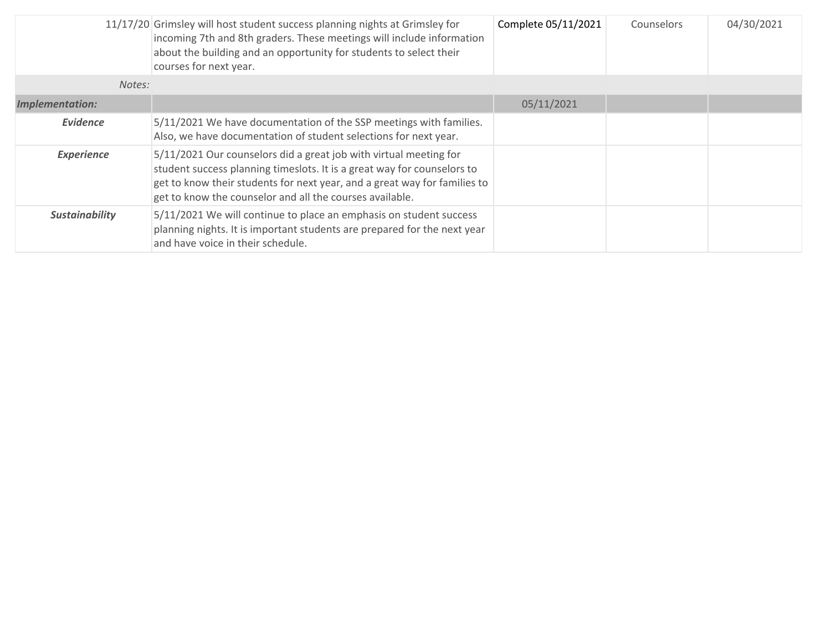|                       | 11/17/20 Grimsley will host student success planning nights at Grimsley for<br>incoming 7th and 8th graders. These meetings will include information<br>about the building and an opportunity for students to select their<br>courses for next year.                                  | Complete 05/11/2021 | Counselors | 04/30/2021 |
|-----------------------|---------------------------------------------------------------------------------------------------------------------------------------------------------------------------------------------------------------------------------------------------------------------------------------|---------------------|------------|------------|
| Notes:                |                                                                                                                                                                                                                                                                                       |                     |            |            |
| Implementation:       |                                                                                                                                                                                                                                                                                       | 05/11/2021          |            |            |
| <b>Evidence</b>       | 5/11/2021 We have documentation of the SSP meetings with families.<br>Also, we have documentation of student selections for next year.                                                                                                                                                |                     |            |            |
| <b>Experience</b>     | 5/11/2021 Our counselors did a great job with virtual meeting for<br>student success planning timeslots. It is a great way for counselors to<br>get to know their students for next year, and a great way for families to<br>get to know the counselor and all the courses available. |                     |            |            |
| <b>Sustainability</b> | 5/11/2021 We will continue to place an emphasis on student success<br>planning nights. It is important students are prepared for the next year<br>and have voice in their schedule.                                                                                                   |                     |            |            |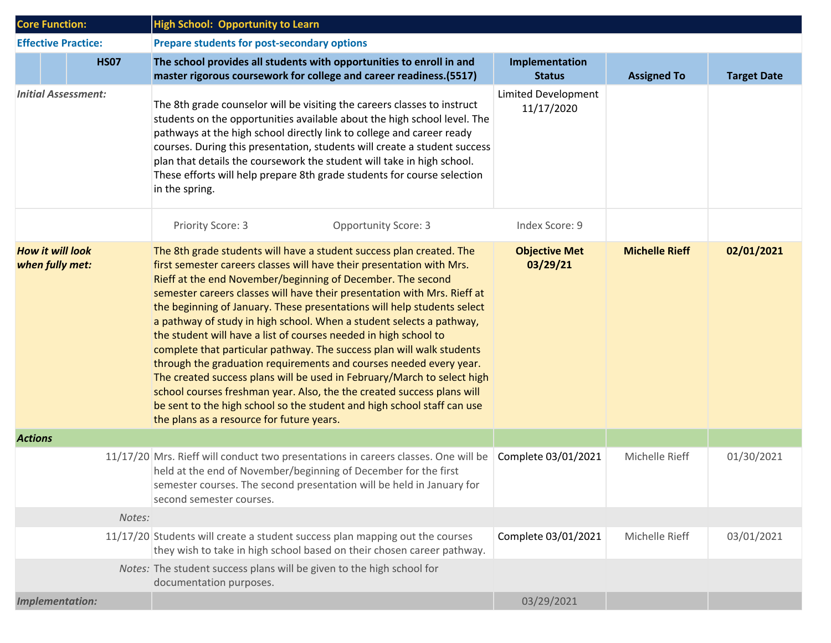| <b>Core Function:</b>                      |                            |             | <b>High School: Opportunity to Learn</b>                                                                                                                                                                                                                                                                                                                                                                                                                                                                                                                                                                                                                                                                                                                                                                                                                                                                                                    |                                          |                       |                    |  |  |
|--------------------------------------------|----------------------------|-------------|---------------------------------------------------------------------------------------------------------------------------------------------------------------------------------------------------------------------------------------------------------------------------------------------------------------------------------------------------------------------------------------------------------------------------------------------------------------------------------------------------------------------------------------------------------------------------------------------------------------------------------------------------------------------------------------------------------------------------------------------------------------------------------------------------------------------------------------------------------------------------------------------------------------------------------------------|------------------------------------------|-----------------------|--------------------|--|--|
|                                            | <b>Effective Practice:</b> |             | Prepare students for post-secondary options                                                                                                                                                                                                                                                                                                                                                                                                                                                                                                                                                                                                                                                                                                                                                                                                                                                                                                 |                                          |                       |                    |  |  |
|                                            |                            | <b>HS07</b> | The school provides all students with opportunities to enroll in and<br>master rigorous coursework for college and career readiness.(5517)                                                                                                                                                                                                                                                                                                                                                                                                                                                                                                                                                                                                                                                                                                                                                                                                  | Implementation<br><b>Status</b>          | <b>Assigned To</b>    | <b>Target Date</b> |  |  |
| <b>Initial Assessment:</b>                 |                            |             | The 8th grade counselor will be visiting the careers classes to instruct<br>students on the opportunities available about the high school level. The<br>pathways at the high school directly link to college and career ready<br>courses. During this presentation, students will create a student success<br>plan that details the coursework the student will take in high school.<br>These efforts will help prepare 8th grade students for course selection<br>in the spring.                                                                                                                                                                                                                                                                                                                                                                                                                                                           | <b>Limited Development</b><br>11/17/2020 |                       |                    |  |  |
|                                            |                            |             | Priority Score: 3<br><b>Opportunity Score: 3</b>                                                                                                                                                                                                                                                                                                                                                                                                                                                                                                                                                                                                                                                                                                                                                                                                                                                                                            | Index Score: 9                           |                       |                    |  |  |
| <b>How it will look</b><br>when fully met: |                            |             | The 8th grade students will have a student success plan created. The<br>first semester careers classes will have their presentation with Mrs.<br>Rieff at the end November/beginning of December. The second<br>semester careers classes will have their presentation with Mrs. Rieff at<br>the beginning of January. These presentations will help students select<br>a pathway of study in high school. When a student selects a pathway,<br>the student will have a list of courses needed in high school to<br>complete that particular pathway. The success plan will walk students<br>through the graduation requirements and courses needed every year.<br>The created success plans will be used in February/March to select high<br>school courses freshman year. Also, the the created success plans will<br>be sent to the high school so the student and high school staff can use<br>the plans as a resource for future years. | <b>Objective Met</b><br>03/29/21         | <b>Michelle Rieff</b> | 02/01/2021         |  |  |
| <b>Actions</b>                             |                            |             |                                                                                                                                                                                                                                                                                                                                                                                                                                                                                                                                                                                                                                                                                                                                                                                                                                                                                                                                             |                                          |                       |                    |  |  |
|                                            |                            |             | 11/17/20 Mrs. Rieff will conduct two presentations in careers classes. One will be<br>held at the end of November/beginning of December for the first<br>semester courses. The second presentation will be held in January for<br>second semester courses.                                                                                                                                                                                                                                                                                                                                                                                                                                                                                                                                                                                                                                                                                  | Complete 03/01/2021                      | Michelle Rieff        | 01/30/2021         |  |  |
|                                            |                            | Notes:      |                                                                                                                                                                                                                                                                                                                                                                                                                                                                                                                                                                                                                                                                                                                                                                                                                                                                                                                                             |                                          |                       |                    |  |  |
|                                            |                            |             | 11/17/20 Students will create a student success plan mapping out the courses<br>they wish to take in high school based on their chosen career pathway.                                                                                                                                                                                                                                                                                                                                                                                                                                                                                                                                                                                                                                                                                                                                                                                      | Complete 03/01/2021                      | Michelle Rieff        | 03/01/2021         |  |  |
|                                            |                            |             | Notes: The student success plans will be given to the high school for<br>documentation purposes.                                                                                                                                                                                                                                                                                                                                                                                                                                                                                                                                                                                                                                                                                                                                                                                                                                            |                                          |                       |                    |  |  |
|                                            | <b>Implementation:</b>     |             |                                                                                                                                                                                                                                                                                                                                                                                                                                                                                                                                                                                                                                                                                                                                                                                                                                                                                                                                             | 03/29/2021                               |                       |                    |  |  |